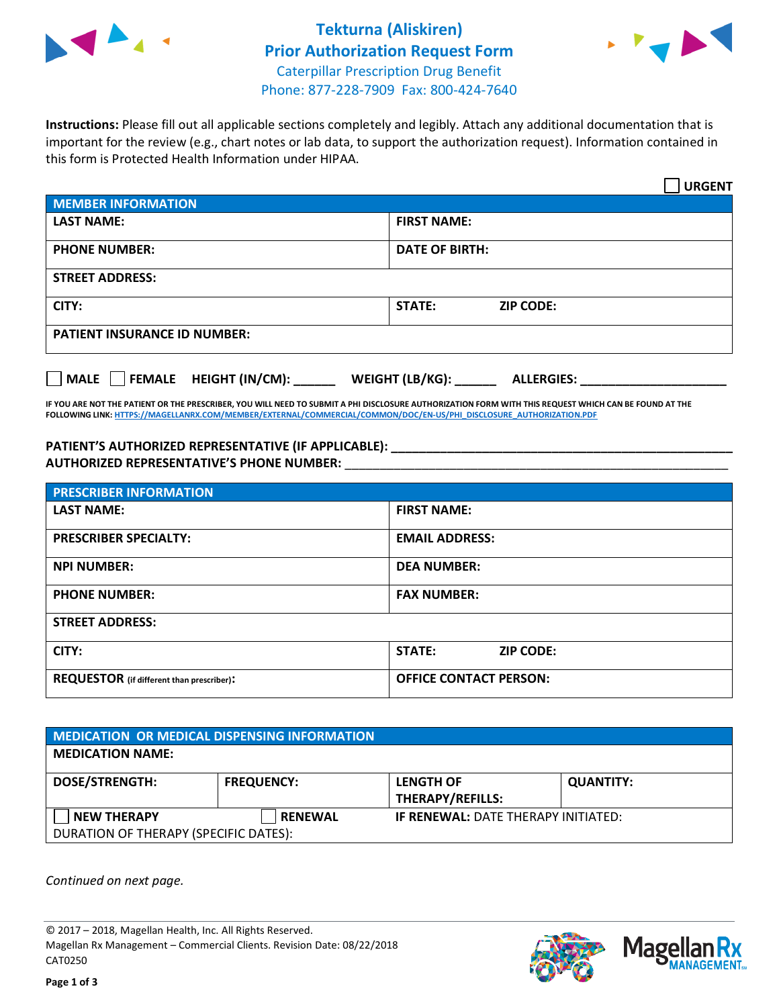



**Instructions:** Please fill out all applicable sections completely and legibly. Attach any additional documentation that is important for the review (e.g., chart notes or lab data, to support the authorization request). Information contained in this form is Protected Health Information under HIPAA.

|                                       | <b>URGENT</b>                        |  |  |  |
|---------------------------------------|--------------------------------------|--|--|--|
| <b>MEMBER INFORMATION</b>             |                                      |  |  |  |
| <b>LAST NAME:</b>                     | <b>FIRST NAME:</b>                   |  |  |  |
| <b>PHONE NUMBER:</b>                  | <b>DATE OF BIRTH:</b>                |  |  |  |
| <b>STREET ADDRESS:</b>                |                                      |  |  |  |
| CITY:                                 | <b>ZIP CODE:</b><br>STATE:           |  |  |  |
| <b>PATIENT INSURANCE ID NUMBER:</b>   |                                      |  |  |  |
| FEMALE HEIGHT (IN/CM):<br><b>MALE</b> | WEIGHT (LB/KG):<br><b>ALLERGIES:</b> |  |  |  |

**IF YOU ARE NOT THE PATIENT OR THE PRESCRIBER, YOU WILL NEED TO SUBMIT A PHI DISCLOSURE AUTHORIZATION FORM WITH THIS REQUEST WHICH CAN BE FOUND AT THE FOLLOWING LINK[: HTTPS://MAGELLANRX.COM/MEMBER/EXTERNAL/COMMERCIAL/COMMON/DOC/EN-US/PHI\\_DISCLOSURE\\_AUTHORIZATION.PDF](https://magellanrx.com/member/external/commercial/common/doc/en-us/PHI_Disclosure_Authorization.pdf)**

**PATIENT'S AUTHORIZED REPRESENTATIVE (IF APPLICABLE): \_\_\_\_\_\_\_\_\_\_\_\_\_\_\_\_\_\_\_\_\_\_\_\_\_\_\_\_\_\_\_\_\_\_\_\_\_\_\_\_\_\_\_\_\_\_\_\_\_ AUTHORIZED REPRESENTATIVE'S PHONE NUMBER:** \_\_\_\_\_\_\_\_\_\_\_\_\_\_\_\_\_\_\_\_\_\_\_\_\_\_\_\_\_\_\_\_\_\_\_\_\_\_\_\_\_\_\_\_\_\_\_\_\_\_\_\_\_\_\_

| <b>PRESCRIBER INFORMATION</b>             |                               |  |  |  |
|-------------------------------------------|-------------------------------|--|--|--|
| <b>LAST NAME:</b>                         | <b>FIRST NAME:</b>            |  |  |  |
| <b>PRESCRIBER SPECIALTY:</b>              | <b>EMAIL ADDRESS:</b>         |  |  |  |
| <b>NPI NUMBER:</b>                        | <b>DEA NUMBER:</b>            |  |  |  |
| <b>PHONE NUMBER:</b>                      | <b>FAX NUMBER:</b>            |  |  |  |
| <b>STREET ADDRESS:</b>                    |                               |  |  |  |
| CITY:                                     | STATE:<br><b>ZIP CODE:</b>    |  |  |  |
| REQUESTOR (if different than prescriber): | <b>OFFICE CONTACT PERSON:</b> |  |  |  |

| <b>MEDICATION OR MEDICAL DISPENSING INFORMATION</b> |                   |                                            |                  |  |  |
|-----------------------------------------------------|-------------------|--------------------------------------------|------------------|--|--|
| <b>MEDICATION NAME:</b>                             |                   |                                            |                  |  |  |
| <b>DOSE/STRENGTH:</b>                               | <b>FREQUENCY:</b> | <b>LENGTH OF</b>                           | <b>QUANTITY:</b> |  |  |
|                                                     |                   | <b>THERAPY/REFILLS:</b>                    |                  |  |  |
| <b>NEW THERAPY</b>                                  | <b>RENEWAL</b>    | <b>IF RENEWAL: DATE THERAPY INITIATED:</b> |                  |  |  |
| DURATION OF THERAPY (SPECIFIC DATES):               |                   |                                            |                  |  |  |

*Continued on next page.*

© 2017 – 2018, Magellan Health, Inc. All Rights Reserved. Magellan Rx Management – Commercial Clients. Revision Date: 08/22/2018 CAT0250



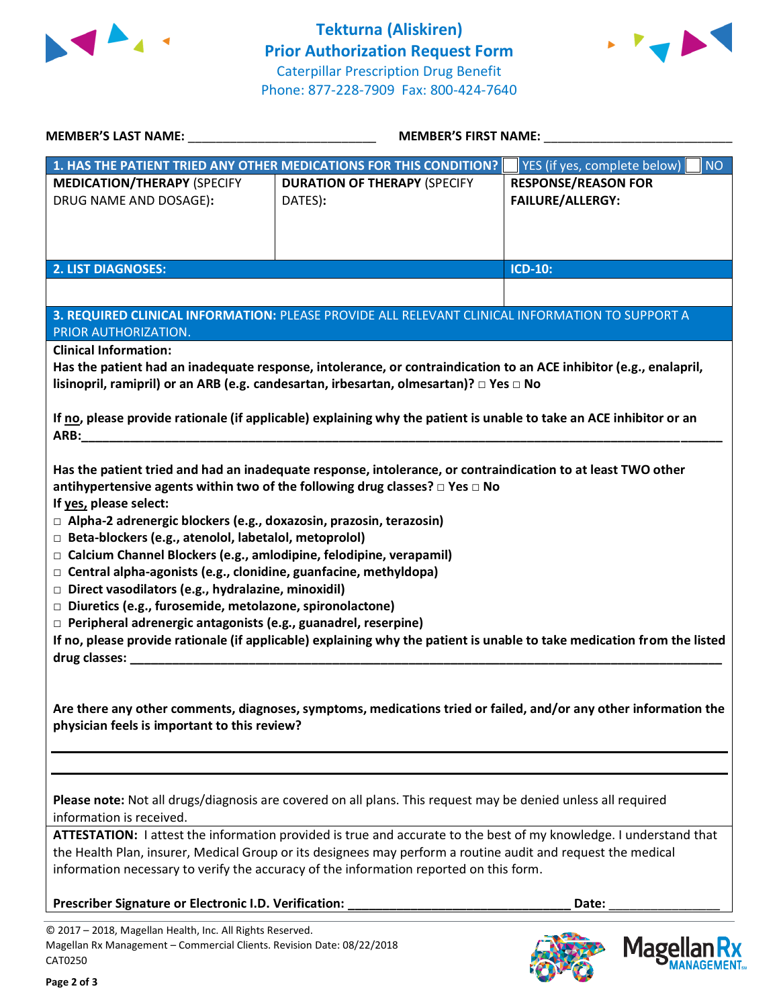



| MEMBER'S LAST NAME: NAME:                                                                                                                                                                                                                                                                                                                                                                                                                                                                                                                                                                                                                                                                                                                                                                                                                                                                                           | MEMBER'S FIRST NAME:                                               |                                                       |  |  |
|---------------------------------------------------------------------------------------------------------------------------------------------------------------------------------------------------------------------------------------------------------------------------------------------------------------------------------------------------------------------------------------------------------------------------------------------------------------------------------------------------------------------------------------------------------------------------------------------------------------------------------------------------------------------------------------------------------------------------------------------------------------------------------------------------------------------------------------------------------------------------------------------------------------------|--------------------------------------------------------------------|-------------------------------------------------------|--|--|
|                                                                                                                                                                                                                                                                                                                                                                                                                                                                                                                                                                                                                                                                                                                                                                                                                                                                                                                     | 1. HAS THE PATIENT TRIED ANY OTHER MEDICATIONS FOR THIS CONDITION? | <b>NO</b><br>YES (if yes, complete below)             |  |  |
| <b>MEDICATION/THERAPY (SPECIFY</b><br>DRUG NAME AND DOSAGE):                                                                                                                                                                                                                                                                                                                                                                                                                                                                                                                                                                                                                                                                                                                                                                                                                                                        | <b>DURATION OF THERAPY (SPECIFY</b><br>DATES):                     | <b>RESPONSE/REASON FOR</b><br><b>FAILURE/ALLERGY:</b> |  |  |
| <b>2. LIST DIAGNOSES:</b>                                                                                                                                                                                                                                                                                                                                                                                                                                                                                                                                                                                                                                                                                                                                                                                                                                                                                           |                                                                    | <b>ICD-10:</b>                                        |  |  |
|                                                                                                                                                                                                                                                                                                                                                                                                                                                                                                                                                                                                                                                                                                                                                                                                                                                                                                                     |                                                                    |                                                       |  |  |
| 3. REQUIRED CLINICAL INFORMATION: PLEASE PROVIDE ALL RELEVANT CLINICAL INFORMATION TO SUPPORT A<br>PRIOR AUTHORIZATION.<br><b>Clinical Information:</b><br>Has the patient had an inadequate response, intolerance, or contraindication to an ACE inhibitor (e.g., enalapril,<br>lisinopril, ramipril) or an ARB (e.g. candesartan, irbesartan, olmesartan)? □ Yes □ No                                                                                                                                                                                                                                                                                                                                                                                                                                                                                                                                             |                                                                    |                                                       |  |  |
| If no, please provide rationale (if applicable) explaining why the patient is unable to take an ACE inhibitor or an                                                                                                                                                                                                                                                                                                                                                                                                                                                                                                                                                                                                                                                                                                                                                                                                 |                                                                    |                                                       |  |  |
| Has the patient tried and had an inadequate response, intolerance, or contraindication to at least TWO other<br>antihypertensive agents within two of the following drug classes? $\Box$ Yes $\Box$ No<br>If yes, please select:<br>$\Box$ Alpha-2 adrenergic blockers (e.g., doxazosin, prazosin, terazosin)<br>□ Beta-blockers (e.g., atenolol, labetalol, metoprolol)<br>□ Calcium Channel Blockers (e.g., amlodipine, felodipine, verapamil)<br>$\Box$ Central alpha-agonists (e.g., clonidine, guanfacine, methyldopa)<br>$\Box$ Direct vasodilators (e.g., hydralazine, minoxidil)<br>Diuretics (e.g., furosemide, metolazone, spironolactone)<br>$\Box$ Peripheral adrenergic antagonists (e.g., guanadrel, reserpine)<br>If no, please provide rationale (if applicable) explaining why the patient is unable to take medication from the listed<br>drug classes: North and Sensing and Sensing Assemblance |                                                                    |                                                       |  |  |
| Are there any other comments, diagnoses, symptoms, medications tried or failed, and/or any other information the<br>physician feels is important to this review?                                                                                                                                                                                                                                                                                                                                                                                                                                                                                                                                                                                                                                                                                                                                                    |                                                                    |                                                       |  |  |
| Please note: Not all drugs/diagnosis are covered on all plans. This request may be denied unless all required<br>information is received.                                                                                                                                                                                                                                                                                                                                                                                                                                                                                                                                                                                                                                                                                                                                                                           |                                                                    |                                                       |  |  |
| ATTESTATION: I attest the information provided is true and accurate to the best of my knowledge. I understand that<br>the Health Plan, insurer, Medical Group or its designees may perform a routine audit and request the medical<br>information necessary to verify the accuracy of the information reported on this form.                                                                                                                                                                                                                                                                                                                                                                                                                                                                                                                                                                                        |                                                                    |                                                       |  |  |
| Prescriber Signature or Electronic I.D. Verification:                                                                                                                                                                                                                                                                                                                                                                                                                                                                                                                                                                                                                                                                                                                                                                                                                                                               |                                                                    | Date:                                                 |  |  |

© 2017 – 2018, Magellan Health, Inc. All Rights Reserved. Magellan Rx Management – Commercial Clients. Revision Date: 08/22/2018 CAT0250